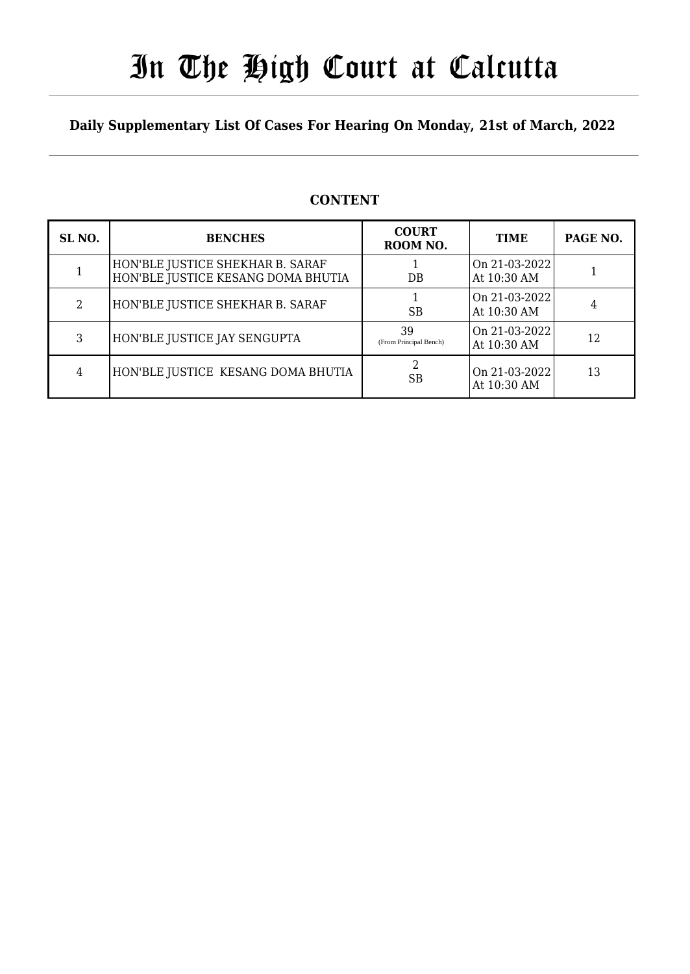# In The High Court at Calcutta

## **Daily Supplementary List Of Cases For Hearing On Monday, 21st of March, 2022**

| SL <sub>NO.</sub> | <b>BENCHES</b>                                                         | <b>COURT</b><br>ROOM NO.     | <b>TIME</b>                  | PAGE NO. |
|-------------------|------------------------------------------------------------------------|------------------------------|------------------------------|----------|
|                   | HON'BLE JUSTICE SHEKHAR B. SARAF<br>HON'BLE JUSTICE KESANG DOMA BHUTIA | DB                           | On 21-03-2022<br>At 10:30 AM |          |
| 2                 | HON'BLE JUSTICE SHEKHAR B. SARAF                                       | <b>SB</b>                    | On 21-03-2022<br>At 10:30 AM | 4        |
| 3                 | HON'BLE JUSTICE JAY SENGUPTA                                           | 39<br>(From Principal Bench) | On 21-03-2022<br>At 10:30 AM | 12       |
| 4                 | HON'BLE JUSTICE KESANG DOMA BHUTIA                                     | <b>SB</b>                    | On 21-03-2022<br>At 10:30 AM | 13       |

## **CONTENT**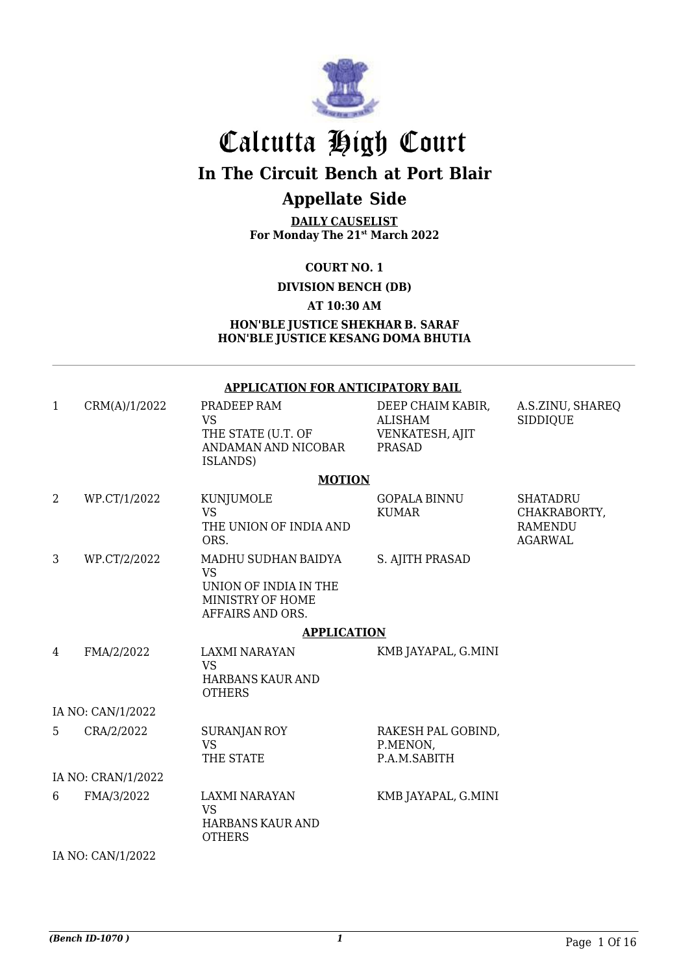

# Calcutta High Court

## **In The Circuit Bench at Port Blair**

# **Appellate Side**

**DAILY CAUSELIST For Monday The 21st March 2022**

### **COURT NO. 1**

**DIVISION BENCH (DB)** 

#### **AT 10:30 AM**

#### **HON'BLE JUSTICE SHEKHAR B. SARAF HON'BLE JUSTICE KESANG DOMA BHUTIA**

#### **APPLICATION FOR ANTICIPATORY BAIL**

| $\mathbf{1}$ | CRM(A)/1/2022      | PRADEEP RAM<br><b>VS</b><br>THE STATE (U.T. OF<br>ANDAMAN AND NICOBAR<br>ISLANDS)                 | DEEP CHAIM KABIR,<br><b>ALISHAM</b><br>VENKATESH, AJIT<br><b>PRASAD</b> | A.S.ZINU, SHAREQ<br><b>SIDDIQUE</b>                                 |
|--------------|--------------------|---------------------------------------------------------------------------------------------------|-------------------------------------------------------------------------|---------------------------------------------------------------------|
|              |                    | <b>MOTION</b>                                                                                     |                                                                         |                                                                     |
| 2            | WP.CT/1/2022       | KUNJUMOLE<br><b>VS</b><br>THE UNION OF INDIA AND<br>ORS.                                          | <b>GOPALA BINNU</b><br><b>KUMAR</b>                                     | <b>SHATADRU</b><br>CHAKRABORTY,<br><b>RAMENDU</b><br><b>AGARWAL</b> |
| 3            | WP.CT/2/2022       | MADHU SUDHAN BAIDYA<br><b>VS</b><br>UNION OF INDIA IN THE<br>MINISTRY OF HOME<br>AFFAIRS AND ORS. | S. AJITH PRASAD                                                         |                                                                     |
|              |                    | <b>APPLICATION</b>                                                                                |                                                                         |                                                                     |
| 4            | FMA/2/2022         | <b>LAXMI NARAYAN</b><br><b>VS</b><br>HARBANS KAUR AND<br><b>OTHERS</b>                            | KMB JAYAPAL, G.MINI                                                     |                                                                     |
|              | IA NO: CAN/1/2022  |                                                                                                   |                                                                         |                                                                     |
| 5            | CRA/2/2022         | <b>SURANJAN ROY</b><br><b>VS</b><br>THE STATE                                                     | RAKESH PAL GOBIND,<br>P.MENON,<br>P.A.M.SABITH                          |                                                                     |
|              | IA NO: CRAN/1/2022 |                                                                                                   |                                                                         |                                                                     |
| 6            | FMA/3/2022         | <b>LAXMI NARAYAN</b><br><b>VS</b><br>HARBANS KAUR AND<br><b>OTHERS</b>                            | KMB JAYAPAL, G.MINI                                                     |                                                                     |
|              | IA NO: CAN/1/2022  |                                                                                                   |                                                                         |                                                                     |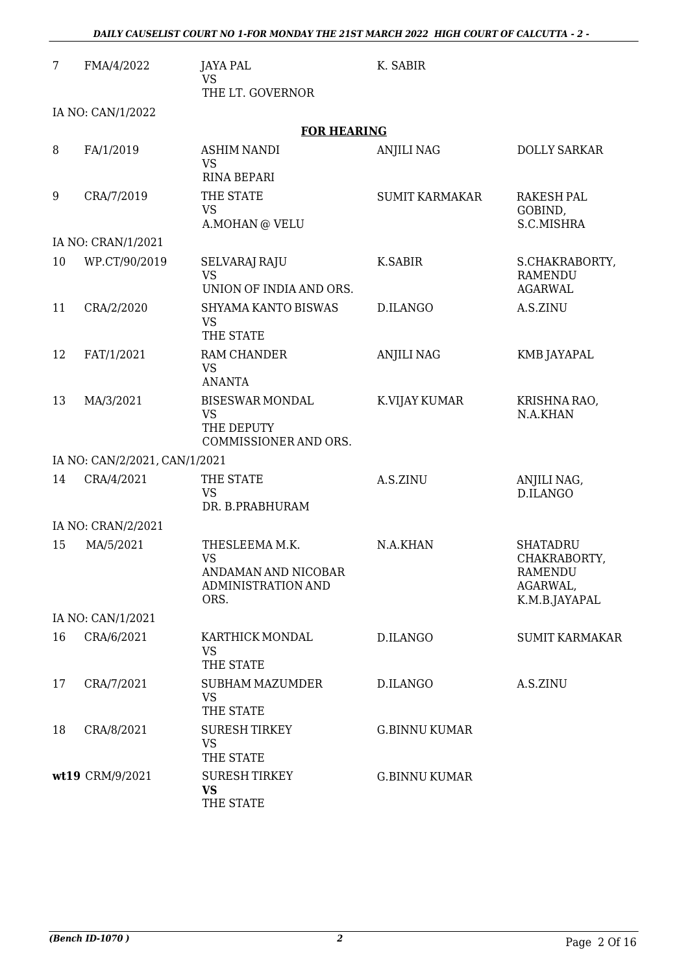| 7  | FMA/4/2022                    | <b>JAYA PAL</b><br><b>VS</b><br>THE LT. GOVERNOR                                 | K. SABIR              |                                                                         |
|----|-------------------------------|----------------------------------------------------------------------------------|-----------------------|-------------------------------------------------------------------------|
|    | IA NO: CAN/1/2022             |                                                                                  |                       |                                                                         |
|    |                               | <b>FOR HEARING</b>                                                               |                       |                                                                         |
| 8  | FA/1/2019                     | <b>ASHIM NANDI</b><br><b>VS</b><br><b>RINA BEPARI</b>                            | <b>ANJILI NAG</b>     | <b>DOLLY SARKAR</b>                                                     |
| 9  | CRA/7/2019                    | THE STATE<br><b>VS</b><br>A.MOHAN @ VELU                                         | <b>SUMIT KARMAKAR</b> | <b>RAKESH PAL</b><br>GOBIND,<br>S.C.MISHRA                              |
|    | IA NO: CRAN/1/2021            |                                                                                  |                       |                                                                         |
| 10 | WP.CT/90/2019                 | <b>SELVARAJ RAJU</b><br><b>VS</b><br>UNION OF INDIA AND ORS.                     | K.SABIR               | S.CHAKRABORTY,<br><b>RAMENDU</b><br><b>AGARWAL</b>                      |
| 11 | CRA/2/2020                    | <b>SHYAMA KANTO BISWAS</b><br><b>VS</b><br>THE STATE                             | D.ILANGO              | A.S.ZINU                                                                |
| 12 | FAT/1/2021                    | RAM CHANDER<br><b>VS</b><br><b>ANANTA</b>                                        | <b>ANJILI NAG</b>     | <b>KMB JAYAPAL</b>                                                      |
| 13 | MA/3/2021                     | <b>BISESWAR MONDAL</b><br><b>VS</b><br>THE DEPUTY<br>COMMISSIONER AND ORS.       | K.VIJAY KUMAR         | KRISHNA RAO,<br>N.A.KHAN                                                |
|    | IA NO: CAN/2/2021, CAN/1/2021 |                                                                                  |                       |                                                                         |
| 14 | CRA/4/2021                    | THE STATE<br><b>VS</b><br>DR. B.PRABHURAM                                        | A.S.ZINU              | ANJILI NAG,<br>D.ILANGO                                                 |
|    | IA NO: CRAN/2/2021            |                                                                                  |                       |                                                                         |
| 15 | MA/5/2021                     | THESLEEMA M.K.<br><b>VS</b><br>ANDAMAN AND NICOBAR<br>ADMINISTRATION AND<br>ORS. | N.A.KHAN              | <b>SHATADRU</b><br>CHAKRABORTY,<br>RAMENDU<br>AGARWAL,<br>K.M.B.JAYAPAL |
|    | IA NO: CAN/1/2021             |                                                                                  |                       |                                                                         |
| 16 | CRA/6/2021                    | KARTHICK MONDAL<br><b>VS</b><br>THE STATE                                        | D.ILANGO              | <b>SUMIT KARMAKAR</b>                                                   |
| 17 | CRA/7/2021                    | SUBHAM MAZUMDER<br><b>VS</b><br>THE STATE                                        | D.ILANGO              | A.S.ZINU                                                                |
| 18 | CRA/8/2021                    | <b>SURESH TIRKEY</b><br><b>VS</b><br>THE STATE                                   | <b>G.BINNU KUMAR</b>  |                                                                         |
|    | wt19 CRM/9/2021               | <b>SURESH TIRKEY</b><br><b>VS</b><br>THE STATE                                   | <b>G.BINNU KUMAR</b>  |                                                                         |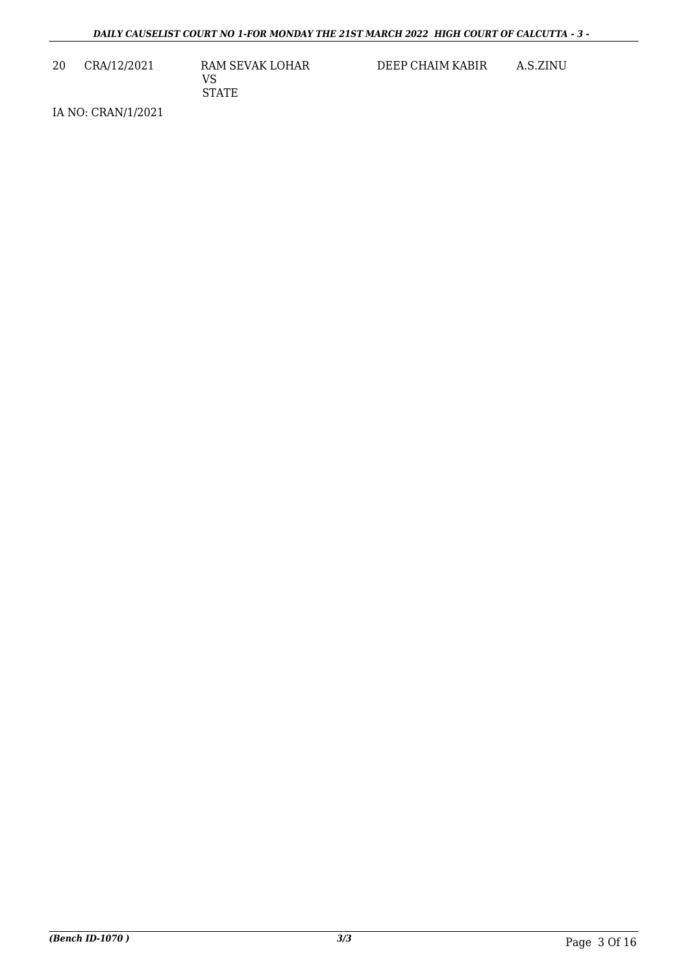20 CRA/12/2021 RAM SEVAK LOHAR VS STATE

DEEP CHAIM KABIR A.S.ZINU

IA NO: CRAN/1/2021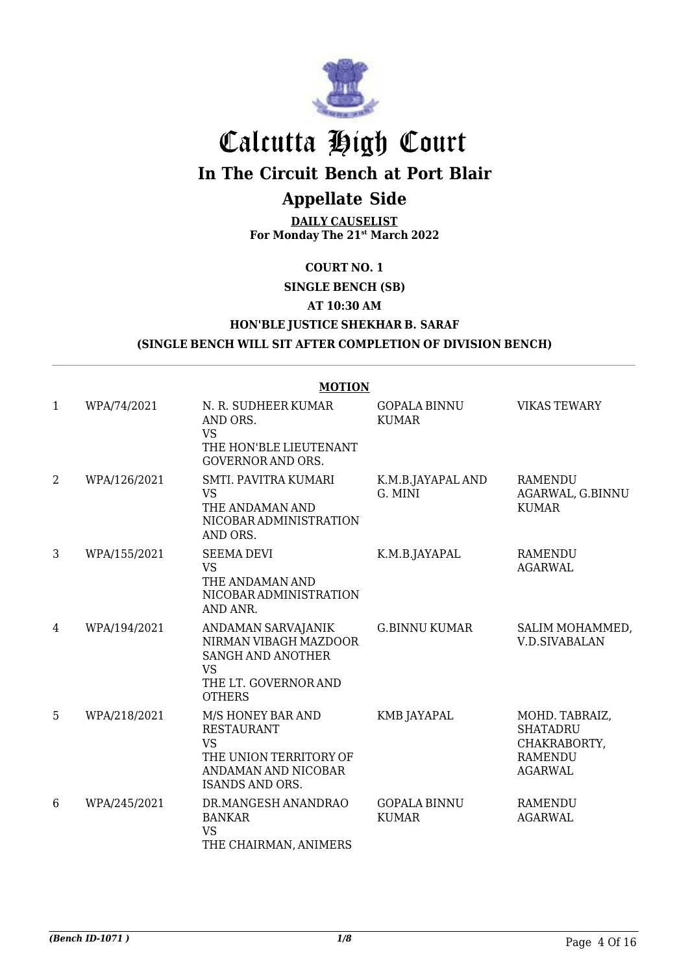

# Calcutta High Court

## **In The Circuit Bench at Port Blair**

## **Appellate Side**

**DAILY CAUSELIST For Monday The 21st March 2022**

### **COURT NO. 1**

**SINGLE BENCH (SB)** 

#### **AT 10:30 AM**

**HON'BLE JUSTICE SHEKHAR B. SARAF**

#### **(SINGLE BENCH WILL SIT AFTER COMPLETION OF DIVISION BENCH)**

|                | <b>MOTION</b> |                                                                                                                                |                                     |                                                                                       |  |  |
|----------------|---------------|--------------------------------------------------------------------------------------------------------------------------------|-------------------------------------|---------------------------------------------------------------------------------------|--|--|
| $\mathbf{1}$   | WPA/74/2021   | N. R. SUDHEER KUMAR<br>AND ORS.<br><b>VS</b><br>THE HON'BLE LIEUTENANT<br><b>GOVERNOR AND ORS.</b>                             | <b>GOPALA BINNU</b><br><b>KUMAR</b> | <b>VIKAS TEWARY</b>                                                                   |  |  |
| $\overline{2}$ | WPA/126/2021  | SMTI. PAVITRA KUMARI<br><b>VS</b><br>THE ANDAMAN AND<br>NICOBAR ADMINISTRATION<br>AND ORS.                                     | K.M.B.JAYAPAL AND<br>G. MINI        | <b>RAMENDU</b><br>AGARWAL, G.BINNU<br><b>KUMAR</b>                                    |  |  |
| 3              | WPA/155/2021  | <b>SEEMA DEVI</b><br><b>VS</b><br>THE ANDAMAN AND<br>NICOBAR ADMINISTRATION<br>AND ANR.                                        | K.M.B.JAYAPAL                       | <b>RAMENDU</b><br><b>AGARWAL</b>                                                      |  |  |
| 4              | WPA/194/2021  | ANDAMAN SARVAJANIK<br>NIRMAN VIBAGH MAZDOOR<br><b>SANGH AND ANOTHER</b><br><b>VS</b><br>THE LT. GOVERNOR AND<br><b>OTHERS</b>  | <b>G.BINNU KUMAR</b>                | SALIM MOHAMMED,<br><b>V.D.SIVABALAN</b>                                               |  |  |
| 5              | WPA/218/2021  | M/S HONEY BAR AND<br><b>RESTAURANT</b><br><b>VS</b><br>THE UNION TERRITORY OF<br>ANDAMAN AND NICOBAR<br><b>ISANDS AND ORS.</b> | KMB JAYAPAL                         | MOHD. TABRAIZ,<br><b>SHATADRU</b><br>CHAKRABORTY,<br><b>RAMENDU</b><br><b>AGARWAL</b> |  |  |
| 6              | WPA/245/2021  | DR.MANGESH ANANDRAO<br><b>BANKAR</b><br><b>VS</b><br>THE CHAIRMAN, ANIMERS                                                     | <b>GOPALA BINNU</b><br><b>KUMAR</b> | <b>RAMENDU</b><br>AGARWAL                                                             |  |  |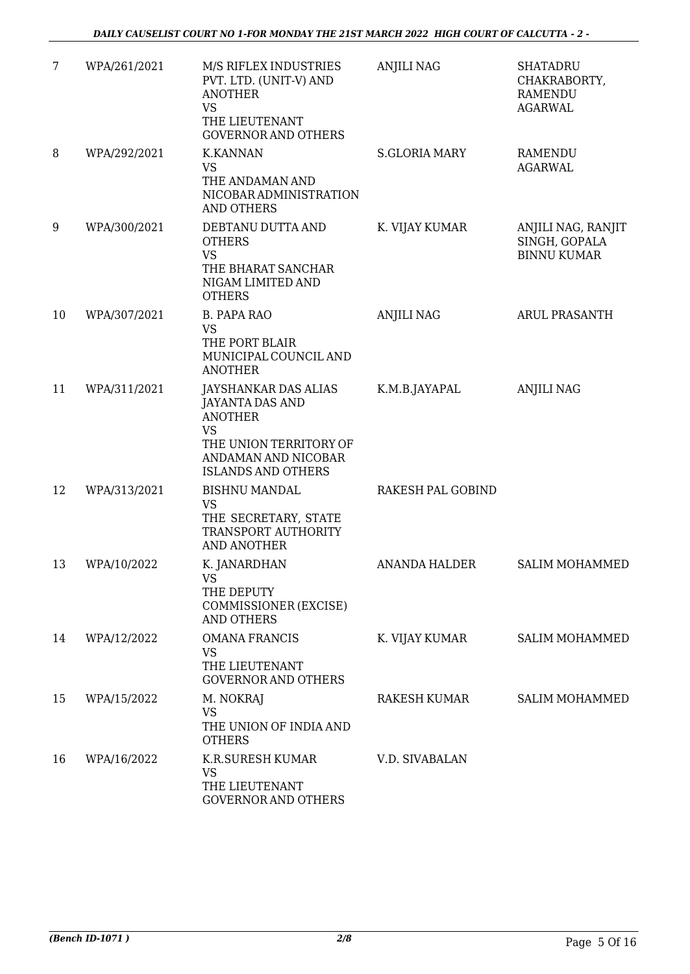| 7  | WPA/261/2021 | M/S RIFLEX INDUSTRIES<br>PVT. LTD. (UNIT-V) AND<br><b>ANOTHER</b><br><b>VS</b><br>THE LIEUTENANT                                                            | <b>ANJILI NAG</b>    | <b>SHATADRU</b><br>CHAKRABORTY,<br><b>RAMENDU</b><br><b>AGARWAL</b> |
|----|--------------|-------------------------------------------------------------------------------------------------------------------------------------------------------------|----------------------|---------------------------------------------------------------------|
| 8  | WPA/292/2021 | <b>GOVERNOR AND OTHERS</b><br><b>K.KANNAN</b><br>VS<br>THE ANDAMAN AND<br>NICOBAR ADMINISTRATION<br><b>AND OTHERS</b>                                       | <b>S.GLORIA MARY</b> | <b>RAMENDU</b><br><b>AGARWAL</b>                                    |
| 9  | WPA/300/2021 | DEBTANU DUTTA AND<br><b>OTHERS</b><br><b>VS</b><br>THE BHARAT SANCHAR<br>NIGAM LIMITED AND<br><b>OTHERS</b>                                                 | K. VIJAY KUMAR       | ANJILI NAG, RANJIT<br>SINGH, GOPALA<br><b>BINNU KUMAR</b>           |
| 10 | WPA/307/2021 | <b>B. PAPA RAO</b><br><b>VS</b><br>THE PORT BLAIR<br>MUNICIPAL COUNCIL AND<br><b>ANOTHER</b>                                                                | <b>ANJILI NAG</b>    | <b>ARUL PRASANTH</b>                                                |
| 11 | WPA/311/2021 | JAYSHANKAR DAS ALIAS<br><b>JAYANTA DAS AND</b><br><b>ANOTHER</b><br><b>VS</b><br>THE UNION TERRITORY OF<br>ANDAMAN AND NICOBAR<br><b>ISLANDS AND OTHERS</b> | K.M.B.JAYAPAL        | <b>ANJILI NAG</b>                                                   |
| 12 | WPA/313/2021 | <b>BISHNU MANDAL</b><br><b>VS</b><br>THE SECRETARY, STATE<br>TRANSPORT AUTHORITY<br>AND ANOTHER                                                             | RAKESH PAL GOBIND    |                                                                     |
| 13 | WPA/10/2022  | K. JANARDHAN<br><b>VS</b><br>THE DEPUTY<br>COMMISSIONER (EXCISE)<br><b>AND OTHERS</b>                                                                       | <b>ANANDA HALDER</b> | <b>SALIM MOHAMMED</b>                                               |
| 14 | WPA/12/2022  | <b>OMANA FRANCIS</b><br><b>VS</b><br>THE LIEUTENANT<br><b>GOVERNOR AND OTHERS</b>                                                                           | K. VIJAY KUMAR       | <b>SALIM MOHAMMED</b>                                               |
| 15 | WPA/15/2022  | M. NOKRAJ<br><b>VS</b><br>THE UNION OF INDIA AND<br><b>OTHERS</b>                                                                                           | RAKESH KUMAR         | <b>SALIM MOHAMMED</b>                                               |
| 16 | WPA/16/2022  | K.R.SURESH KUMAR<br><b>VS</b><br>THE LIEUTENANT<br>GOVERNOR AND OTHERS                                                                                      | V.D. SIVABALAN       |                                                                     |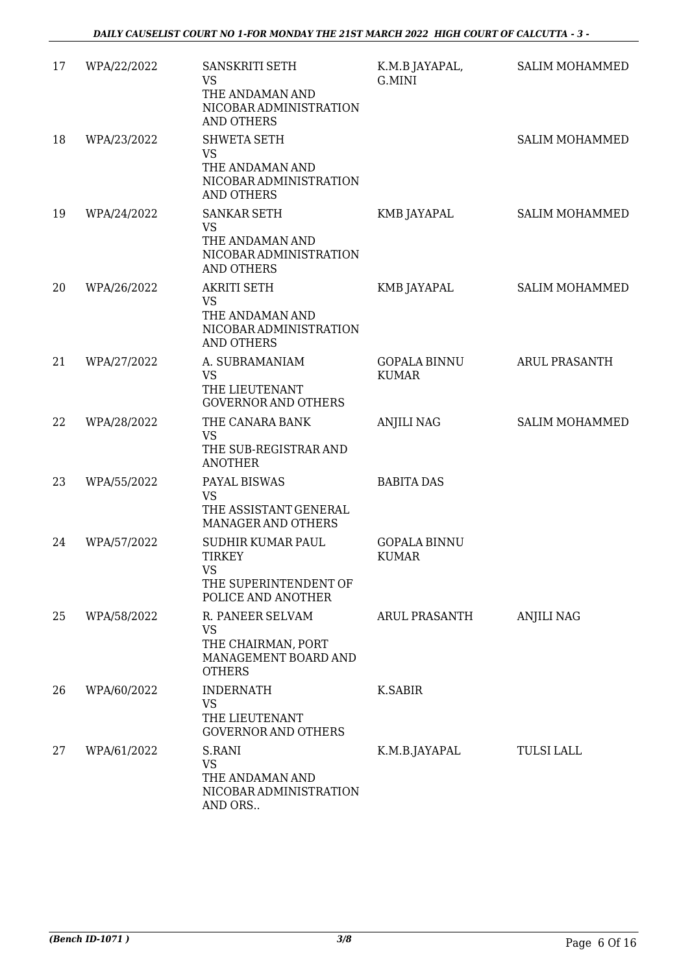| 17 | WPA/22/2022 | <b>SANSKRITI SETH</b><br><b>VS</b><br>THE ANDAMAN AND<br>NICOBAR ADMINISTRATION<br><b>AND OTHERS</b> | K.M.B JAYAPAL,<br>G.MINI            | <b>SALIM MOHAMMED</b> |
|----|-------------|------------------------------------------------------------------------------------------------------|-------------------------------------|-----------------------|
| 18 | WPA/23/2022 | <b>SHWETA SETH</b><br><b>VS</b><br>THE ANDAMAN AND<br>NICOBAR ADMINISTRATION<br><b>AND OTHERS</b>    |                                     | <b>SALIM MOHAMMED</b> |
| 19 | WPA/24/2022 | <b>SANKAR SETH</b><br><b>VS</b><br>THE ANDAMAN AND<br>NICOBAR ADMINISTRATION<br><b>AND OTHERS</b>    | KMB JAYAPAL                         | <b>SALIM MOHAMMED</b> |
| 20 | WPA/26/2022 | <b>AKRITI SETH</b><br><b>VS</b><br>THE ANDAMAN AND<br>NICOBAR ADMINISTRATION<br><b>AND OTHERS</b>    | KMB JAYAPAL                         | <b>SALIM MOHAMMED</b> |
| 21 | WPA/27/2022 | A. SUBRAMANIAM<br><b>VS</b><br>THE LIEUTENANT<br><b>GOVERNOR AND OTHERS</b>                          | <b>GOPALA BINNU</b><br><b>KUMAR</b> | <b>ARUL PRASANTH</b>  |
| 22 | WPA/28/2022 | THE CANARA BANK<br><b>VS</b><br>THE SUB-REGISTRAR AND<br><b>ANOTHER</b>                              | <b>ANJILI NAG</b>                   | <b>SALIM MOHAMMED</b> |
| 23 | WPA/55/2022 | PAYAL BISWAS<br><b>VS</b><br>THE ASSISTANT GENERAL<br>MANAGER AND OTHERS                             | <b>BABITA DAS</b>                   |                       |
| 24 | WPA/57/2022 | SUDHIR KUMAR PAUL<br><b>TIRKEY</b><br>VS.<br>THE SUPERINTENDENT OF<br>POLICE AND ANOTHER             | <b>GOPALA BINNU</b><br><b>KUMAR</b> |                       |
| 25 | WPA/58/2022 | R. PANEER SELVAM<br>VS<br>THE CHAIRMAN, PORT<br>MANAGEMENT BOARD AND<br><b>OTHERS</b>                | <b>ARUL PRASANTH</b>                | <b>ANJILI NAG</b>     |
| 26 | WPA/60/2022 | <b>INDERNATH</b><br><b>VS</b><br>THE LIEUTENANT<br><b>GOVERNOR AND OTHERS</b>                        | <b>K.SABIR</b>                      |                       |
| 27 | WPA/61/2022 | S.RANI<br><b>VS</b><br>THE ANDAMAN AND<br>NICOBAR ADMINISTRATION<br>AND ORS                          | K.M.B.JAYAPAL                       | <b>TULSI LALL</b>     |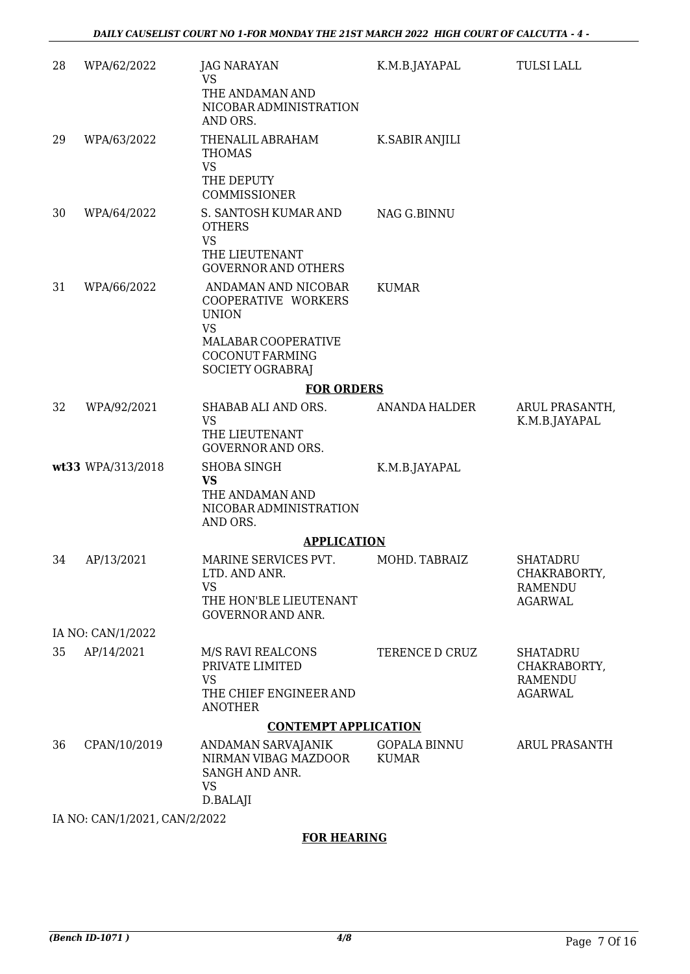| 28 | WPA/62/2022                   | <b>JAG NARAYAN</b><br><b>VS</b><br>THE ANDAMAN AND<br>NICOBAR ADMINISTRATION<br>AND ORS.                                                            | K.M.B.JAYAPAL                       | <b>TULSI LALL</b>                                                   |
|----|-------------------------------|-----------------------------------------------------------------------------------------------------------------------------------------------------|-------------------------------------|---------------------------------------------------------------------|
| 29 | WPA/63/2022                   | THENALIL ABRAHAM<br><b>THOMAS</b><br><b>VS</b><br>THE DEPUTY<br><b>COMMISSIONER</b>                                                                 | K.SABIR ANJILI                      |                                                                     |
| 30 | WPA/64/2022                   | S. SANTOSH KUMAR AND<br><b>OTHERS</b><br><b>VS</b><br>THE LIEUTENANT<br><b>GOVERNOR AND OTHERS</b>                                                  | NAG G.BINNU                         |                                                                     |
| 31 | WPA/66/2022                   | ANDAMAN AND NICOBAR<br>COOPERATIVE WORKERS<br><b>UNION</b><br><b>VS</b><br>MALABAR COOPERATIVE<br><b>COCONUT FARMING</b><br><b>SOCIETY OGRABRAJ</b> | <b>KUMAR</b>                        |                                                                     |
|    |                               | <b>FOR ORDERS</b>                                                                                                                                   |                                     |                                                                     |
| 32 | WPA/92/2021                   | SHABAB ALI AND ORS.<br><b>VS</b><br>THE LIEUTENANT<br><b>GOVERNOR AND ORS.</b>                                                                      | ANANDA HALDER                       | ARUL PRASANTH,<br>K.M.B.JAYAPAL                                     |
|    | wt33 WPA/313/2018             | <b>SHOBA SINGH</b><br><b>VS</b><br>THE ANDAMAN AND<br>NICOBAR ADMINISTRATION<br>AND ORS.                                                            | K.M.B.JAYAPAL                       |                                                                     |
|    |                               | <b>APPLICATION</b>                                                                                                                                  |                                     |                                                                     |
| 34 | AP/13/2021                    | MARINE SERVICES PVT.<br>LTD. AND ANR.<br><b>VS</b><br>THE HON'BLE LIEUTENANT<br><b>GOVERNOR AND ANR.</b>                                            | MOHD. TABRAIZ                       | <b>SHATADRU</b><br>CHAKRABORTY,<br><b>RAMENDU</b><br><b>AGARWAL</b> |
|    | IA NO: CAN/1/2022             |                                                                                                                                                     |                                     |                                                                     |
| 35 | AP/14/2021                    | M/S RAVI REALCONS<br>PRIVATE LIMITED<br><b>VS</b><br>THE CHIEF ENGINEER AND<br><b>ANOTHER</b>                                                       | TERENCE D CRUZ                      | <b>SHATADRU</b><br>CHAKRABORTY,<br><b>RAMENDU</b><br><b>AGARWAL</b> |
|    |                               | <b>CONTEMPT APPLICATION</b>                                                                                                                         |                                     |                                                                     |
| 36 | CPAN/10/2019                  | ANDAMAN SARVAJANIK<br>NIRMAN VIBAG MAZDOOR<br>SANGH AND ANR.<br><b>VS</b><br>D.BALAJI                                                               | <b>GOPALA BINNU</b><br><b>KUMAR</b> | <b>ARUL PRASANTH</b>                                                |
|    | IA NO: CAN/1/2021, CAN/2/2022 |                                                                                                                                                     |                                     |                                                                     |

### **FOR HEARING**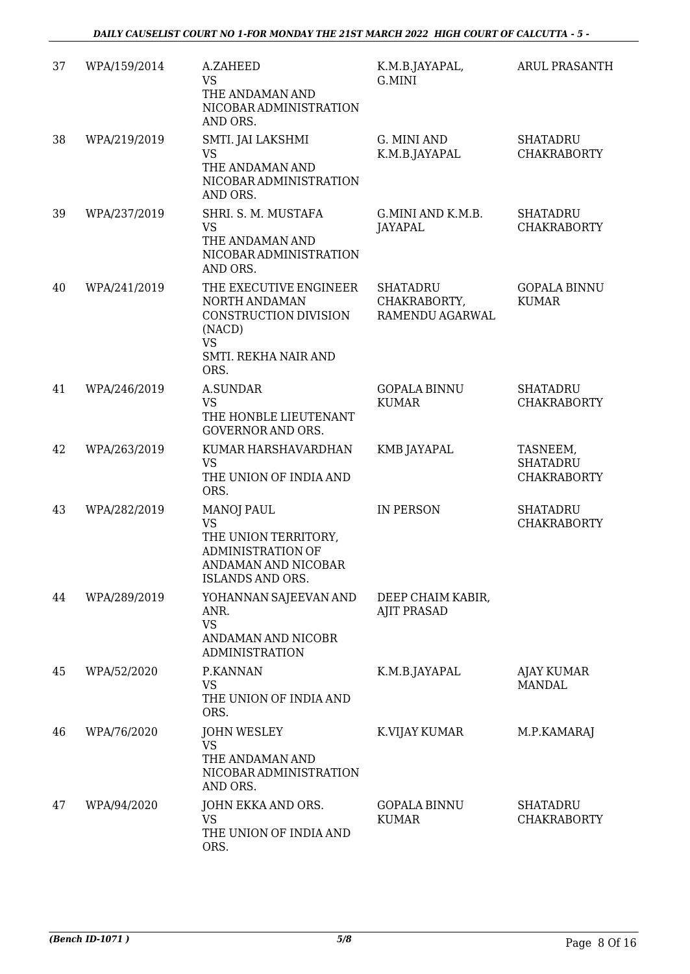| 37 | WPA/159/2014 | A.ZAHEED<br><b>VS</b><br>THE ANDAMAN AND<br>NICOBAR ADMINISTRATION<br>AND ORS.                                                       | K.M.B.JAYAPAL,<br>G.MINI                           | <b>ARUL PRASANTH</b>                              |
|----|--------------|--------------------------------------------------------------------------------------------------------------------------------------|----------------------------------------------------|---------------------------------------------------|
| 38 | WPA/219/2019 | SMTI. JAI LAKSHMI<br><b>VS</b><br>THE ANDAMAN AND<br>NICOBAR ADMINISTRATION<br>AND ORS.                                              | G. MINI AND<br>K.M.B.JAYAPAL                       | <b>SHATADRU</b><br><b>CHAKRABORTY</b>             |
| 39 | WPA/237/2019 | SHRI. S. M. MUSTAFA<br><b>VS</b><br>THE ANDAMAN AND<br>NICOBAR ADMINISTRATION<br>AND ORS.                                            | G.MINI AND K.M.B.<br><b>JAYAPAL</b>                | <b>SHATADRU</b><br><b>CHAKRABORTY</b>             |
| 40 | WPA/241/2019 | THE EXECUTIVE ENGINEER<br>NORTH ANDAMAN<br>CONSTRUCTION DIVISION<br>(NACD)<br><b>VS</b><br>SMTI. REKHA NAIR AND<br>ORS.              | <b>SHATADRU</b><br>CHAKRABORTY,<br>RAMENDU AGARWAL | <b>GOPALA BINNU</b><br><b>KUMAR</b>               |
| 41 | WPA/246/2019 | <b>A.SUNDAR</b><br><b>VS</b><br>THE HONBLE LIEUTENANT<br><b>GOVERNOR AND ORS.</b>                                                    | <b>GOPALA BINNU</b><br><b>KUMAR</b>                | <b>SHATADRU</b><br><b>CHAKRABORTY</b>             |
| 42 | WPA/263/2019 | KUMAR HARSHAVARDHAN<br><b>VS</b><br>THE UNION OF INDIA AND<br>ORS.                                                                   | KMB JAYAPAL                                        | TASNEEM,<br><b>SHATADRU</b><br><b>CHAKRABORTY</b> |
| 43 | WPA/282/2019 | <b>MANOJ PAUL</b><br><b>VS</b><br>THE UNION TERRITORY,<br><b>ADMINISTRATION OF</b><br>ANDAMAN AND NICOBAR<br><b>ISLANDS AND ORS.</b> | <b>IN PERSON</b>                                   | <b>SHATADRU</b><br><b>CHAKRABORTY</b>             |
| 44 | WPA/289/2019 | YOHANNAN SAJEEVAN AND<br>ANR.<br><b>VS</b><br>ANDAMAN AND NICOBR<br><b>ADMINISTRATION</b>                                            | DEEP CHAIM KABIR,<br><b>AJIT PRASAD</b>            |                                                   |
| 45 | WPA/52/2020  | P.KANNAN<br><b>VS</b><br>THE UNION OF INDIA AND<br>ORS.                                                                              | K.M.B.JAYAPAL                                      | AJAY KUMAR<br><b>MANDAL</b>                       |
| 46 | WPA/76/2020  | <b>JOHN WESLEY</b><br><b>VS</b><br>THE ANDAMAN AND<br>NICOBAR ADMINISTRATION<br>AND ORS.                                             | K.VIJAY KUMAR                                      | M.P.KAMARAJ                                       |
| 47 | WPA/94/2020  | JOHN EKKA AND ORS.<br><b>VS</b><br>THE UNION OF INDIA AND<br>ORS.                                                                    | <b>GOPALA BINNU</b><br><b>KUMAR</b>                | <b>SHATADRU</b><br><b>CHAKRABORTY</b>             |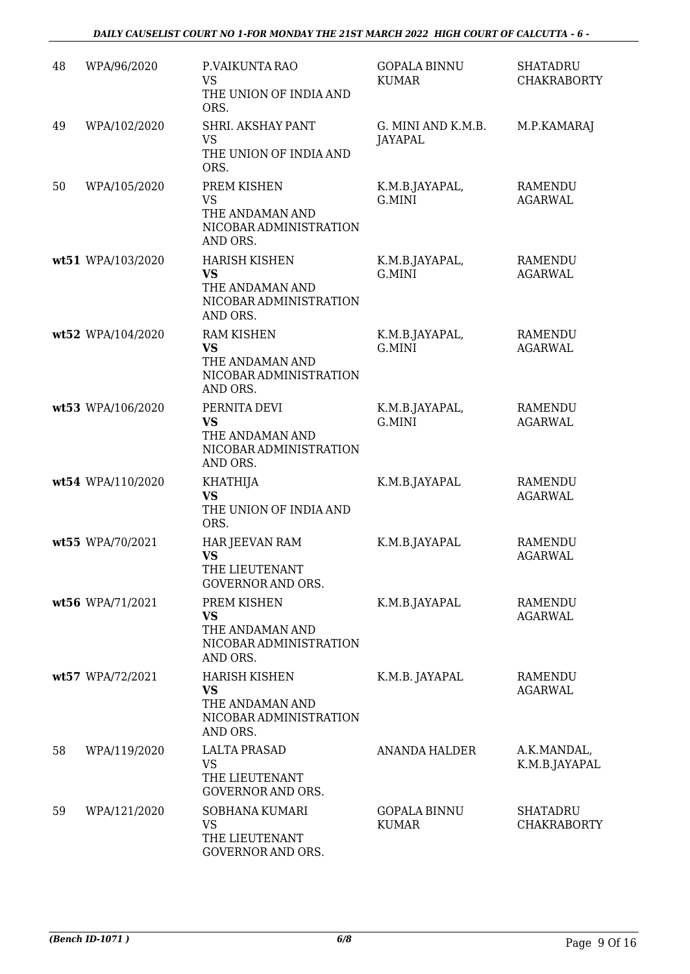| 48 | WPA/96/2020       | P.VAIKUNTA RAO<br><b>VS</b><br>THE UNION OF INDIA AND<br>ORS.                              | <b>GOPALA BINNU</b><br><b>KUMAR</b> | <b>SHATADRU</b><br><b>CHAKRABORTY</b> |
|----|-------------------|--------------------------------------------------------------------------------------------|-------------------------------------|---------------------------------------|
| 49 | WPA/102/2020      | SHRI. AKSHAY PANT<br><b>VS</b><br>THE UNION OF INDIA AND<br>ORS.                           | G. MINI AND K.M.B.<br>JAYAPAL       | M.P.KAMARAJ                           |
| 50 | WPA/105/2020      | PREM KISHEN<br><b>VS</b><br>THE ANDAMAN AND<br>NICOBAR ADMINISTRATION<br>AND ORS.          | K.M.B.JAYAPAL,<br>G.MINI            | RAMENDU<br><b>AGARWAL</b>             |
|    | wt51 WPA/103/2020 | <b>HARISH KISHEN</b><br><b>VS</b><br>THE ANDAMAN AND<br>NICOBAR ADMINISTRATION<br>AND ORS. | K.M.B.JAYAPAL,<br>G.MINI            | <b>RAMENDU</b><br><b>AGARWAL</b>      |
|    | wt52 WPA/104/2020 | <b>RAM KISHEN</b><br><b>VS</b><br>THE ANDAMAN AND<br>NICOBAR ADMINISTRATION<br>AND ORS.    | K.M.B.JAYAPAL,<br>G.MINI            | <b>RAMENDU</b><br><b>AGARWAL</b>      |
|    | wt53 WPA/106/2020 | PERNITA DEVI<br><b>VS</b><br>THE ANDAMAN AND<br>NICOBAR ADMINISTRATION<br>AND ORS.         | K.M.B.JAYAPAL,<br>G.MINI            | <b>RAMENDU</b><br><b>AGARWAL</b>      |
|    | wt54 WPA/110/2020 | <b>KHATHIJA</b><br><b>VS</b><br>THE UNION OF INDIA AND<br>ORS.                             | K.M.B.JAYAPAL                       | <b>RAMENDU</b><br><b>AGARWAL</b>      |
|    | wt55 WPA/70/2021  | HAR JEEVAN RAM<br><b>VS</b><br>THE LIEUTENANT<br><b>GOVERNOR AND ORS.</b>                  | K.M.B.JAYAPAL                       | <b>RAMENDU</b><br><b>AGARWAL</b>      |
|    | wt56 WPA/71/2021  | PREM KISHEN<br><b>VS</b><br>THE ANDAMAN AND<br>NICOBAR ADMINISTRATION<br>AND ORS.          | K.M.B.JAYAPAL                       | <b>RAMENDU</b><br><b>AGARWAL</b>      |
|    | wt57 WPA/72/2021  | <b>HARISH KISHEN</b><br><b>VS</b><br>THE ANDAMAN AND<br>NICOBAR ADMINISTRATION<br>AND ORS. | K.M.B. JAYAPAL                      | RAMENDU<br><b>AGARWAL</b>             |
| 58 | WPA/119/2020      | <b>LALTA PRASAD</b><br>VS<br>THE LIEUTENANT<br>GOVERNOR AND ORS.                           | ANANDA HALDER                       | A.K.MANDAL,<br>K.M.B.JAYAPAL          |
| 59 | WPA/121/2020      | SOBHANA KUMARI<br>VS<br>THE LIEUTENANT<br>GOVERNOR AND ORS.                                | <b>GOPALA BINNU</b><br><b>KUMAR</b> | <b>SHATADRU</b><br>CHAKRABORTY        |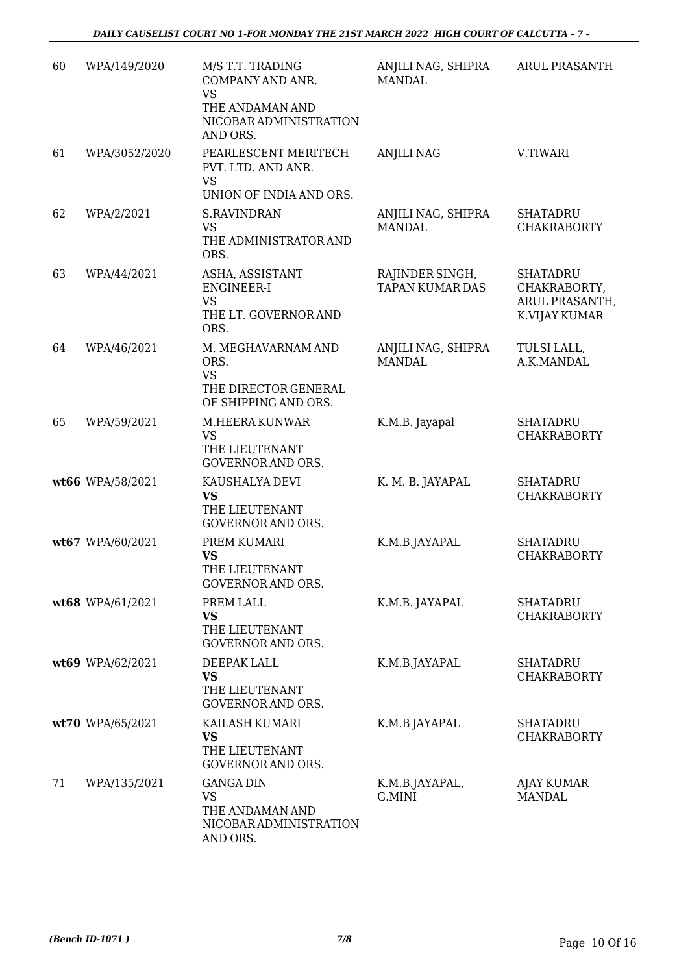| 60 | WPA/149/2020     | M/S T.T. TRADING<br>COMPANY AND ANR.<br><b>VS</b><br>THE ANDAMAN AND<br>NICOBAR ADMINISTRATION<br>AND ORS. | ANJILI NAG, SHIPRA<br><b>MANDAL</b>       | ARUL PRASANTH                                                      |
|----|------------------|------------------------------------------------------------------------------------------------------------|-------------------------------------------|--------------------------------------------------------------------|
| 61 | WPA/3052/2020    | PEARLESCENT MERITECH<br>PVT. LTD. AND ANR.<br><b>VS</b><br>UNION OF INDIA AND ORS.                         | <b>ANJILI NAG</b>                         | V.TIWARI                                                           |
| 62 | WPA/2/2021       | <b>S.RAVINDRAN</b><br><b>VS</b><br>THE ADMINISTRATOR AND<br>ORS.                                           | ANJILI NAG, SHIPRA<br><b>MANDAL</b>       | <b>SHATADRU</b><br><b>CHAKRABORTY</b>                              |
| 63 | WPA/44/2021      | ASHA, ASSISTANT<br>ENGINEER-I<br><b>VS</b><br>THE LT. GOVERNOR AND<br>ORS.                                 | RAJINDER SINGH,<br><b>TAPAN KUMAR DAS</b> | <b>SHATADRU</b><br>CHAKRABORTY,<br>ARUL PRASANTH,<br>K.VIJAY KUMAR |
| 64 | WPA/46/2021      | M. MEGHAVARNAM AND<br>ORS.<br><b>VS</b><br>THE DIRECTOR GENERAL<br>OF SHIPPING AND ORS.                    | ANJILI NAG, SHIPRA<br><b>MANDAL</b>       | TULSI LALL,<br>A.K.MANDAL                                          |
| 65 | WPA/59/2021      | M.HEERA KUNWAR<br><b>VS</b><br>THE LIEUTENANT<br><b>GOVERNOR AND ORS.</b>                                  | K.M.B. Jayapal                            | <b>SHATADRU</b><br><b>CHAKRABORTY</b>                              |
|    | wt66 WPA/58/2021 | KAUSHALYA DEVI<br><b>VS</b><br>THE LIEUTENANT<br><b>GOVERNOR AND ORS.</b>                                  | K. M. B. JAYAPAL                          | <b>SHATADRU</b><br><b>CHAKRABORTY</b>                              |
|    | wt67 WPA/60/2021 | PREM KUMARI<br><b>VS</b><br>THE LIEUTENANT<br><b>GOVERNOR AND ORS.</b>                                     | K.M.B.JAYAPAL                             | <b>SHATADRU</b><br><b>CHAKRABORTY</b>                              |
|    | wt68 WPA/61/2021 | PREM LALL<br><b>VS</b><br>THE LIEUTENANT<br><b>GOVERNOR AND ORS.</b>                                       | K.M.B. JAYAPAL                            | <b>SHATADRU</b><br><b>CHAKRABORTY</b>                              |
|    | wt69 WPA/62/2021 | DEEPAK LALL<br><b>VS</b><br>THE LIEUTENANT<br><b>GOVERNOR AND ORS.</b>                                     | K.M.B.JAYAPAL                             | <b>SHATADRU</b><br><b>CHAKRABORTY</b>                              |
|    | wt70 WPA/65/2021 | KAILASH KUMARI<br><b>VS</b><br>THE LIEUTENANT<br><b>GOVERNOR AND ORS.</b>                                  | K.M.B JAYAPAL                             | <b>SHATADRU</b><br><b>CHAKRABORTY</b>                              |
| 71 | WPA/135/2021     | <b>GANGA DIN</b><br><b>VS</b><br>THE ANDAMAN AND<br>NICOBAR ADMINISTRATION<br>AND ORS.                     | K.M.B.JAYAPAL,<br>G.MINI                  | AJAY KUMAR<br><b>MANDAL</b>                                        |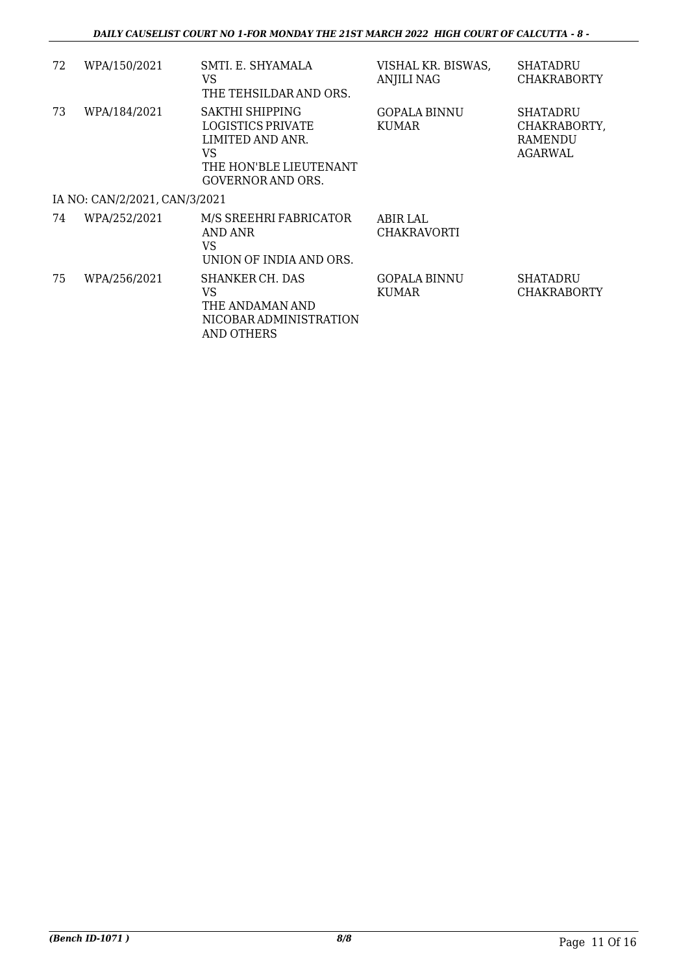| 72 | WPA/150/2021                  | SMTI. E. SHYAMALA<br>VS<br>THE TEHSILDAR AND ORS.                                                             | VISHAL KR. BISWAS,<br><b>ANJILI NAG</b> | <b>SHATADRU</b><br><b>CHAKRABORTY</b>                        |
|----|-------------------------------|---------------------------------------------------------------------------------------------------------------|-----------------------------------------|--------------------------------------------------------------|
| 73 | WPA/184/2021                  | SAKTHI SHIPPING<br>LOGISTICS PRIVATE<br>LIMITED AND ANR.<br>VS<br>THE HON'BLE LIEUTENANT<br>GOVERNOR AND ORS. | <b>GOPALA BINNU</b><br>KUMAR            | <b>SHATADRU</b><br>CHAKRABORTY,<br><b>RAMENDU</b><br>AGARWAL |
|    | IA NO: CAN/2/2021, CAN/3/2021 |                                                                                                               |                                         |                                                              |
| 74 | WPA/252/2021                  | M/S SREEHRI FABRICATOR<br>AND ANR<br><b>VS</b><br>UNION OF INDIA AND ORS.                                     | ABIR LAL<br><b>CHAKRAVORTI</b>          |                                                              |
| 75 | WPA/256/2021                  | SHANKER CH. DAS<br>VS<br>THE ANDAMAN AND<br>NICOBAR ADMINISTRATION<br>AND OTHERS                              | <b>GOPALA BINNU</b><br>KUMAR            | <b>SHATADRU</b><br><b>CHAKRABORTY</b>                        |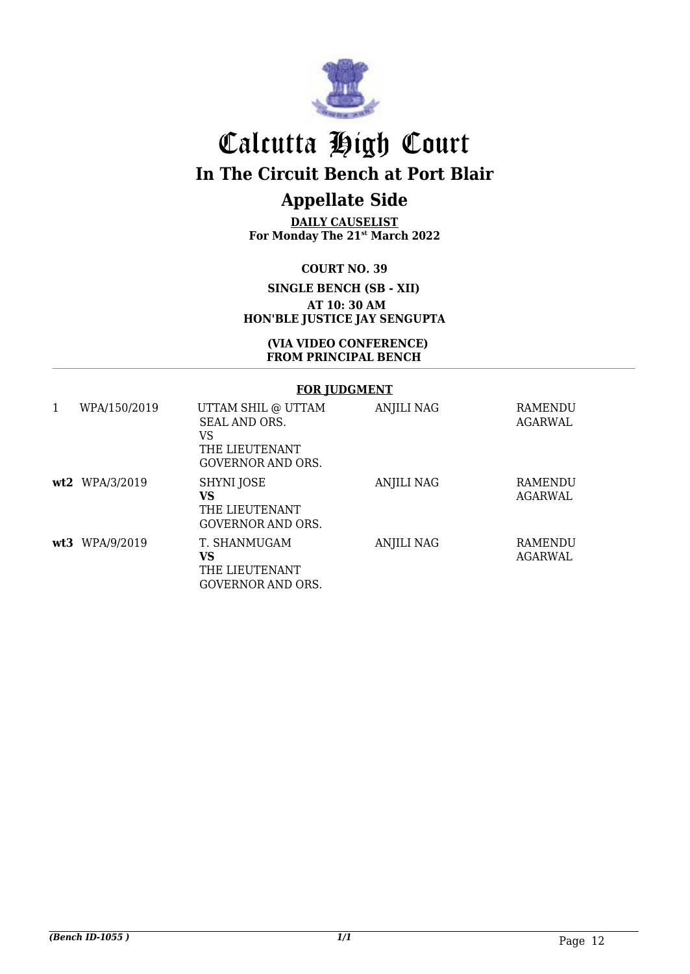

# Calcutta High Court **In The Circuit Bench at Port Blair**

## **Appellate Side**

**DAILY CAUSELIST For Monday The 21 st March 2022**

#### **COURT NO. 39**

**SINGLE BENCH (SB - XII) AT 10: 30 AM HON'BLE JUSTICE JAY SENGUPTA**

#### **(VIA VIDEO CONFERENCE) FROM PRINCIPAL BENCH**

#### **FOR JUDGMENT**

| 1 | WPA/150/2019     | UTTAM SHIL @ UTTAM<br>SEAL AND ORS.<br>VS<br>THE LIEUTENANT<br><b>GOVERNOR AND ORS.</b> | ANJILI NAG | <b>RAMENDU</b><br>AGARWAL |
|---|------------------|-----------------------------------------------------------------------------------------|------------|---------------------------|
|   | $wt2$ WPA/3/2019 | SHYNI JOSE<br>VS<br>THE LIEUTENANT<br>GOVERNOR AND ORS.                                 | ANJILI NAG | RAMENDU<br>AGARWAL        |
|   | wt3 WPA/9/2019   | T. SHANMUGAM<br>VS<br>THE LIEUTENANT<br>GOVERNOR AND ORS.                               | ANJILI NAG | RAMENDU<br>AGARWAL        |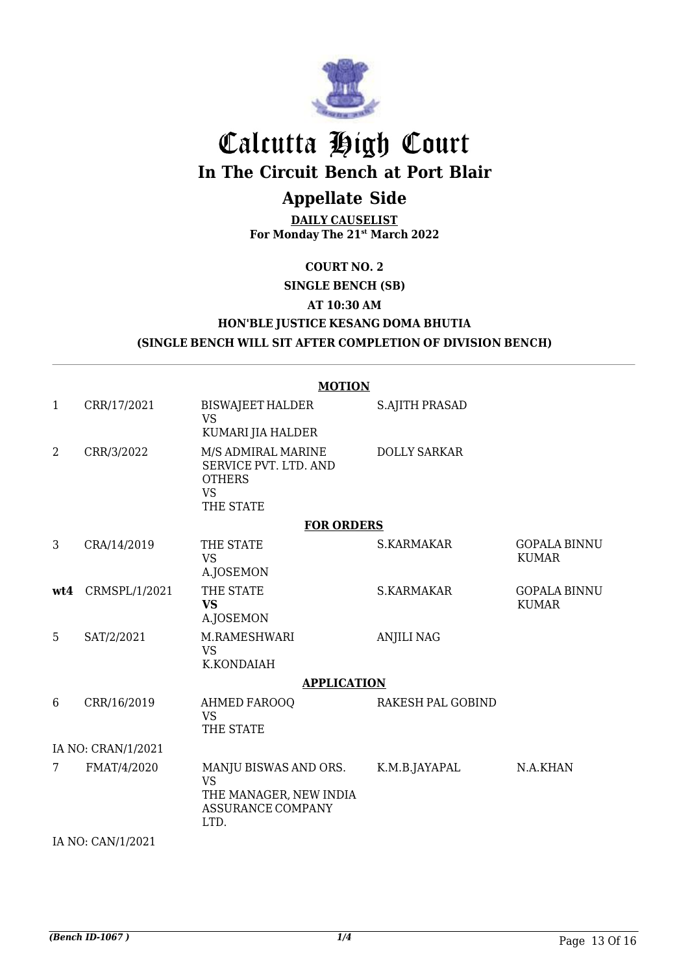

# Calcutta High Court **In The Circuit Bench at Port Blair**

## **Appellate Side**

**DAILY CAUSELIST For Monday The 21st March 2022**

### **COURT NO. 2**

## **SINGLE BENCH (SB) AT 10:30 AM HON'BLE JUSTICE KESANG DOMA BHUTIA**

## **(SINGLE BENCH WILL SIT AFTER COMPLETION OF DIVISION BENCH)**

#### **MOTION**

| $\mathbf{1}$       | CRR/17/2021   | <b>BISWAJEET HALDER</b><br><b>VS</b>                                                                        | <b>S.AJITH PRASAD</b> |                                     |
|--------------------|---------------|-------------------------------------------------------------------------------------------------------------|-----------------------|-------------------------------------|
| 2                  | CRR/3/2022    | KUMARI JIA HALDER<br>M/S ADMIRAL MARINE<br>SERVICE PVT. LTD. AND<br><b>OTHERS</b><br><b>VS</b><br>THE STATE | <b>DOLLY SARKAR</b>   |                                     |
|                    |               | <b>FOR ORDERS</b>                                                                                           |                       |                                     |
| 3                  | CRA/14/2019   | THE STATE<br><b>VS</b><br>A.JOSEMON                                                                         | S.KARMAKAR            | <b>GOPALA BINNU</b><br><b>KUMAR</b> |
| wt4                | CRMSPL/1/2021 | THE STATE<br><b>VS</b><br><b>A.JOSEMON</b>                                                                  | <b>S.KARMAKAR</b>     | <b>GOPALA BINNU</b><br><b>KUMAR</b> |
| 5                  | SAT/2/2021    | M.RAMESHWARI<br><b>VS</b><br>K.KONDAIAH                                                                     | <b>ANJILI NAG</b>     |                                     |
|                    |               | <b>APPLICATION</b>                                                                                          |                       |                                     |
| 6                  | CRR/16/2019   | <b>AHMED FAROOQ</b><br><b>VS</b><br>THE STATE                                                               | RAKESH PAL GOBIND     |                                     |
| IA NO: CRAN/1/2021 |               |                                                                                                             |                       |                                     |
| 7                  | FMAT/4/2020   | MANJU BISWAS AND ORS.<br><b>VS</b><br>THE MANAGER, NEW INDIA<br><b>ASSURANCE COMPANY</b><br>LTD.            | K.M.B.JAYAPAL         | N.A.KHAN                            |
| IA NO: CAN/1/2021  |               |                                                                                                             |                       |                                     |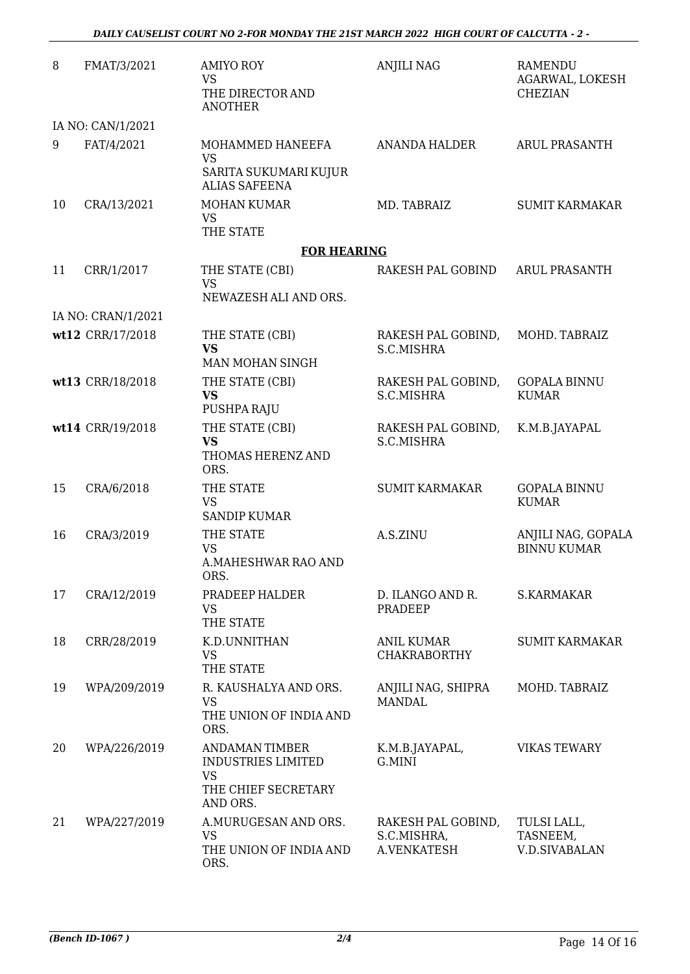| 8  | FMAT/3/2021        | <b>AMIYO ROY</b><br><b>VS</b><br>THE DIRECTOR AND<br><b>ANOTHER</b>                                | <b>ANJILI NAG</b>                                | RAMENDU<br>AGARWAL, LOKESH<br><b>CHEZIAN</b>    |
|----|--------------------|----------------------------------------------------------------------------------------------------|--------------------------------------------------|-------------------------------------------------|
|    | IA NO: CAN/1/2021  |                                                                                                    |                                                  |                                                 |
| 9  | FAT/4/2021         | MOHAMMED HANEEFA<br><b>VS</b><br>SARITA SUKUMARI KUJUR<br><b>ALIAS SAFEENA</b>                     | ANANDA HALDER                                    | <b>ARUL PRASANTH</b>                            |
| 10 | CRA/13/2021        | <b>MOHAN KUMAR</b><br><b>VS</b><br>THE STATE                                                       | MD. TABRAIZ                                      | <b>SUMIT KARMAKAR</b>                           |
|    |                    | <b>FOR HEARING</b>                                                                                 |                                                  |                                                 |
| 11 | CRR/1/2017         | THE STATE (CBI)<br><b>VS</b><br>NEWAZESH ALI AND ORS.                                              | RAKESH PAL GOBIND                                | <b>ARUL PRASANTH</b>                            |
|    | IA NO: CRAN/1/2021 |                                                                                                    |                                                  |                                                 |
|    | wt12 CRR/17/2018   | THE STATE (CBI)<br><b>VS</b><br>MAN MOHAN SINGH                                                    | RAKESH PAL GOBIND,<br>S.C.MISHRA                 | MOHD. TABRAIZ                                   |
|    | wt13 CRR/18/2018   | THE STATE (CBI)<br><b>VS</b><br>PUSHPA RAJU                                                        | RAKESH PAL GOBIND,<br>S.C.MISHRA                 | <b>GOPALA BINNU</b><br><b>KUMAR</b>             |
|    | wt14 CRR/19/2018   | THE STATE (CBI)<br><b>VS</b><br>THOMAS HERENZ AND<br>ORS.                                          | RAKESH PAL GOBIND,<br>S.C.MISHRA                 | K.M.B.JAYAPAL                                   |
| 15 | CRA/6/2018         | THE STATE<br><b>VS</b><br><b>SANDIP KUMAR</b>                                                      | <b>SUMIT KARMAKAR</b>                            | <b>GOPALA BINNU</b><br><b>KUMAR</b>             |
| 16 | CRA/3/2019         | THE STATE<br><b>VS</b><br>A.MAHESHWAR RAO AND<br>ORS.                                              | A.S.ZINU                                         | ANJILI NAG, GOPALA<br><b>BINNU KUMAR</b>        |
| 17 | CRA/12/2019        | PRADEEP HALDER<br><b>VS</b><br>THE STATE                                                           | D. ILANGO AND R.<br>PRADEEP                      | <b>S.KARMAKAR</b>                               |
| 18 | CRR/28/2019        | K.D.UNNITHAN<br><b>VS</b><br>THE STATE                                                             | <b>ANIL KUMAR</b><br><b>CHAKRABORTHY</b>         | <b>SUMIT KARMAKAR</b>                           |
| 19 | WPA/209/2019       | R. KAUSHALYA AND ORS.<br><b>VS</b><br>THE UNION OF INDIA AND<br>ORS.                               | ANJILI NAG, SHIPRA<br><b>MANDAL</b>              | MOHD. TABRAIZ                                   |
| 20 | WPA/226/2019       | <b>ANDAMAN TIMBER</b><br><b>INDUSTRIES LIMITED</b><br><b>VS</b><br>THE CHIEF SECRETARY<br>AND ORS. | K.M.B.JAYAPAL,<br>G.MINI                         | <b>VIKAS TEWARY</b>                             |
| 21 | WPA/227/2019       | A.MURUGESAN AND ORS.<br><b>VS</b><br>THE UNION OF INDIA AND<br>ORS.                                | RAKESH PAL GOBIND,<br>S.C.MISHRA,<br>A.VENKATESH | TULSI LALL,<br>TASNEEM,<br><b>V.D.SIVABALAN</b> |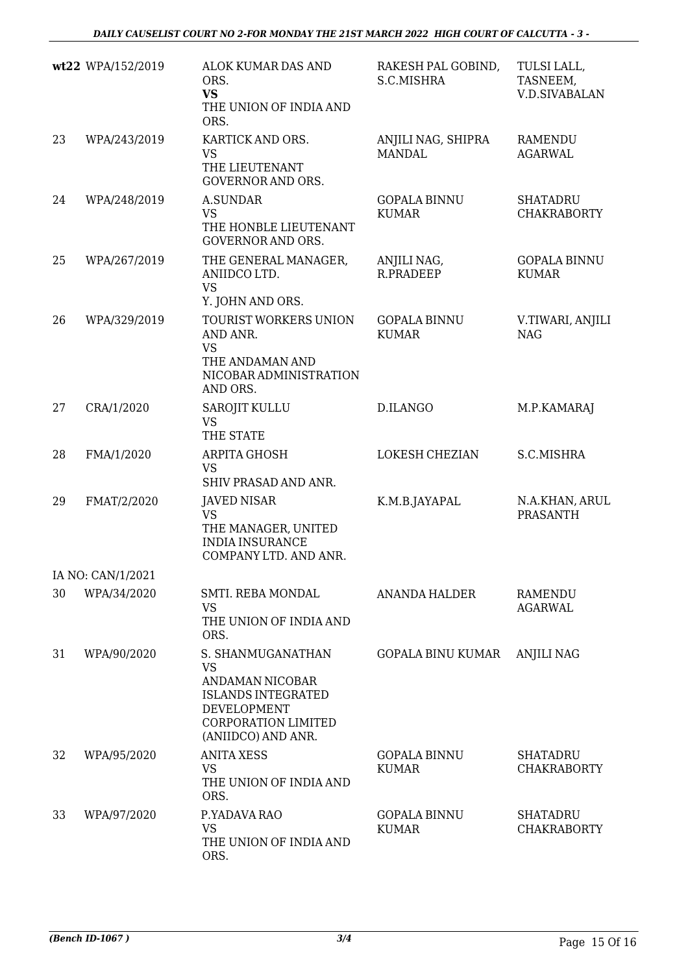|    | wt22 WPA/152/2019 | ALOK KUMAR DAS AND<br>ORS.<br><b>VS</b><br>THE UNION OF INDIA AND<br>ORS.                                                                                       | RAKESH PAL GOBIND,<br>S.C.MISHRA    | TULSI LALL,<br>TASNEEM,<br><b>V.D.SIVABALAN</b> |
|----|-------------------|-----------------------------------------------------------------------------------------------------------------------------------------------------------------|-------------------------------------|-------------------------------------------------|
| 23 | WPA/243/2019      | KARTICK AND ORS.<br><b>VS</b><br>THE LIEUTENANT<br><b>GOVERNOR AND ORS.</b>                                                                                     | ANJILI NAG, SHIPRA<br><b>MANDAL</b> | <b>RAMENDU</b><br><b>AGARWAL</b>                |
| 24 | WPA/248/2019      | <b>A.SUNDAR</b><br><b>VS</b><br>THE HONBLE LIEUTENANT<br><b>GOVERNOR AND ORS.</b>                                                                               | <b>GOPALA BINNU</b><br><b>KUMAR</b> | <b>SHATADRU</b><br><b>CHAKRABORTY</b>           |
| 25 | WPA/267/2019      | THE GENERAL MANAGER,<br>ANIIDCO LTD.<br><b>VS</b><br>Y. JOHN AND ORS.                                                                                           | ANJILI NAG,<br>R.PRADEEP            | <b>GOPALA BINNU</b><br><b>KUMAR</b>             |
| 26 | WPA/329/2019      | TOURIST WORKERS UNION<br>AND ANR.<br><b>VS</b><br>THE ANDAMAN AND<br>NICOBAR ADMINISTRATION<br>AND ORS.                                                         | <b>GOPALA BINNU</b><br><b>KUMAR</b> | V.TIWARI, ANJILI<br><b>NAG</b>                  |
| 27 | CRA/1/2020        | <b>SAROJIT KULLU</b><br><b>VS</b><br>THE STATE                                                                                                                  | D.ILANGO                            | M.P.KAMARAJ                                     |
| 28 | FMA/1/2020        | ARPITA GHOSH<br><b>VS</b><br>SHIV PRASAD AND ANR.                                                                                                               | <b>LOKESH CHEZIAN</b>               | S.C.MISHRA                                      |
| 29 | FMAT/2/2020       | <b>JAVED NISAR</b><br><b>VS</b><br>THE MANAGER, UNITED<br><b>INDIA INSURANCE</b><br>COMPANY LTD. AND ANR.                                                       | K.M.B.JAYAPAL                       | N.A.KHAN, ARUL<br><b>PRASANTH</b>               |
|    | IA NO: CAN/1/2021 |                                                                                                                                                                 |                                     |                                                 |
| 30 | WPA/34/2020       | SMTI. REBA MONDAL<br><b>VS</b><br>THE UNION OF INDIA AND<br>ORS.                                                                                                | <b>ANANDA HALDER</b>                | RAMENDU<br><b>AGARWAL</b>                       |
| 31 | WPA/90/2020       | S. SHANMUGANATHAN<br><b>VS</b><br><b>ANDAMAN NICOBAR</b><br><b>ISLANDS INTEGRATED</b><br><b>DEVELOPMENT</b><br><b>CORPORATION LIMITED</b><br>(ANIIDCO) AND ANR. | <b>GOPALA BINU KUMAR</b>            | <b>ANJILI NAG</b>                               |
| 32 | WPA/95/2020       | <b>ANITA XESS</b><br><b>VS</b><br>THE UNION OF INDIA AND<br>ORS.                                                                                                | <b>GOPALA BINNU</b><br><b>KUMAR</b> | <b>SHATADRU</b><br><b>CHAKRABORTY</b>           |
| 33 | WPA/97/2020       | P.YADAVA RAO<br><b>VS</b><br>THE UNION OF INDIA AND<br>ORS.                                                                                                     | <b>GOPALA BINNU</b><br><b>KUMAR</b> | <b>SHATADRU</b><br><b>CHAKRABORTY</b>           |